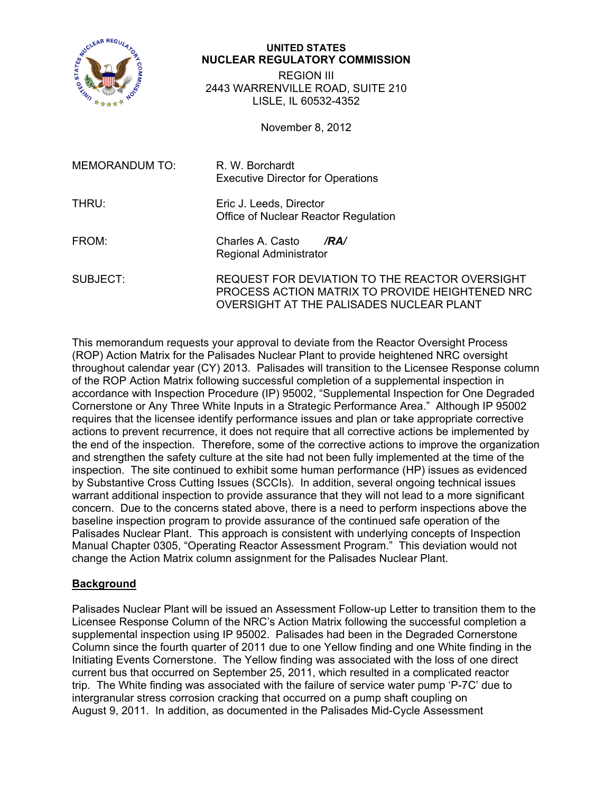

# **UNITED STATES NUCLEAR REGULATORY COMMISSION**

REGION III 2443 WARRENVILLE ROAD, SUITE 210 LISLE, IL 60532-4352

November 8, 2012

| MEMORANDUM TO: | R. W. Borchardt<br><b>Executive Director for Operations</b>                                                                                   |
|----------------|-----------------------------------------------------------------------------------------------------------------------------------------------|
| THRU:          | Eric J. Leeds, Director<br>Office of Nuclear Reactor Regulation                                                                               |
| FROM:          | Charles A. Casto<br>/RA/<br>Regional Administrator                                                                                            |
| SUBJECT:       | REQUEST FOR DEVIATION TO THE REACTOR OVERSIGHT<br>PROCESS ACTION MATRIX TO PROVIDE HEIGHTENED NRC<br>OVERSIGHT AT THE PALISADES NUCLEAR PLANT |

This memorandum requests your approval to deviate from the Reactor Oversight Process (ROP) Action Matrix for the Palisades Nuclear Plant to provide heightened NRC oversight throughout calendar year (CY) 2013. Palisades will transition to the Licensee Response column of the ROP Action Matrix following successful completion of a supplemental inspection in accordance with Inspection Procedure (IP) 95002, "Supplemental Inspection for One Degraded Cornerstone or Any Three White Inputs in a Strategic Performance Area." Although IP 95002 requires that the licensee identify performance issues and plan or take appropriate corrective actions to prevent recurrence, it does not require that all corrective actions be implemented by the end of the inspection. Therefore, some of the corrective actions to improve the organization and strengthen the safety culture at the site had not been fully implemented at the time of the inspection. The site continued to exhibit some human performance (HP) issues as evidenced by Substantive Cross Cutting Issues (SCCIs). In addition, several ongoing technical issues warrant additional inspection to provide assurance that they will not lead to a more significant concern. Due to the concerns stated above, there is a need to perform inspections above the baseline inspection program to provide assurance of the continued safe operation of the Palisades Nuclear Plant. This approach is consistent with underlying concepts of Inspection Manual Chapter 0305, "Operating Reactor Assessment Program." This deviation would not change the Action Matrix column assignment for the Palisades Nuclear Plant.

# **Background**

Palisades Nuclear Plant will be issued an Assessment Follow-up Letter to transition them to the Licensee Response Column of the NRC's Action Matrix following the successful completion a supplemental inspection using IP 95002. Palisades had been in the Degraded Cornerstone Column since the fourth quarter of 2011 due to one Yellow finding and one White finding in the Initiating Events Cornerstone. The Yellow finding was associated with the loss of one direct current bus that occurred on September 25, 2011, which resulted in a complicated reactor trip. The White finding was associated with the failure of service water pump 'P-7C' due to intergranular stress corrosion cracking that occurred on a pump shaft coupling on August 9, 2011. In addition, as documented in the Palisades Mid-Cycle Assessment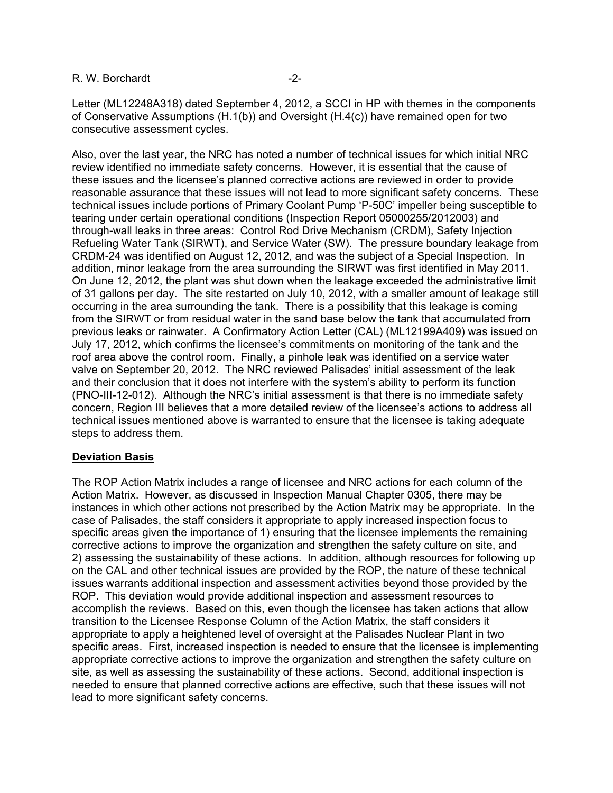R. W. Borchardt -2-

Letter (ML12248A318) dated September 4, 2012, a SCCI in HP with themes in the components of Conservative Assumptions (H.1(b)) and Oversight (H.4(c)) have remained open for two consecutive assessment cycles.

Also, over the last year, the NRC has noted a number of technical issues for which initial NRC review identified no immediate safety concerns. However, it is essential that the cause of these issues and the licensee's planned corrective actions are reviewed in order to provide reasonable assurance that these issues will not lead to more significant safety concerns. These technical issues include portions of Primary Coolant Pump 'P-50C' impeller being susceptible to tearing under certain operational conditions (Inspection Report 05000255/2012003) and through-wall leaks in three areas: Control Rod Drive Mechanism (CRDM), Safety Injection Refueling Water Tank (SIRWT), and Service Water (SW). The pressure boundary leakage from CRDM-24 was identified on August 12, 2012, and was the subject of a Special Inspection. In addition, minor leakage from the area surrounding the SIRWT was first identified in May 2011. On June 12, 2012, the plant was shut down when the leakage exceeded the administrative limit of 31 gallons per day. The site restarted on July 10, 2012, with a smaller amount of leakage still occurring in the area surrounding the tank. There is a possibility that this leakage is coming from the SIRWT or from residual water in the sand base below the tank that accumulated from previous leaks or rainwater. A Confirmatory Action Letter (CAL) (ML12199A409) was issued on July 17, 2012, which confirms the licensee's commitments on monitoring of the tank and the roof area above the control room. Finally, a pinhole leak was identified on a service water valve on September 20, 2012. The NRC reviewed Palisades' initial assessment of the leak and their conclusion that it does not interfere with the system's ability to perform its function (PNO-III-12-012). Although the NRC's initial assessment is that there is no immediate safety concern, Region III believes that a more detailed review of the licensee's actions to address all technical issues mentioned above is warranted to ensure that the licensee is taking adequate steps to address them.

# **Deviation Basis**

The ROP Action Matrix includes a range of licensee and NRC actions for each column of the Action Matrix. However, as discussed in Inspection Manual Chapter 0305, there may be instances in which other actions not prescribed by the Action Matrix may be appropriate. In the case of Palisades, the staff considers it appropriate to apply increased inspection focus to specific areas given the importance of 1) ensuring that the licensee implements the remaining corrective actions to improve the organization and strengthen the safety culture on site, and 2) assessing the sustainability of these actions. In addition, although resources for following up on the CAL and other technical issues are provided by the ROP, the nature of these technical issues warrants additional inspection and assessment activities beyond those provided by the ROP. This deviation would provide additional inspection and assessment resources to accomplish the reviews. Based on this, even though the licensee has taken actions that allow transition to the Licensee Response Column of the Action Matrix, the staff considers it appropriate to apply a heightened level of oversight at the Palisades Nuclear Plant in two specific areas. First, increased inspection is needed to ensure that the licensee is implementing appropriate corrective actions to improve the organization and strengthen the safety culture on site, as well as assessing the sustainability of these actions. Second, additional inspection is needed to ensure that planned corrective actions are effective, such that these issues will not lead to more significant safety concerns.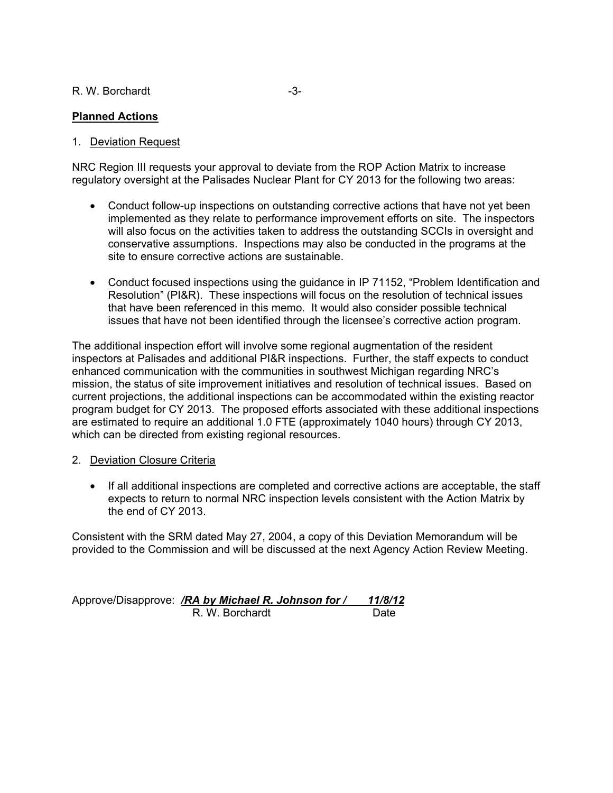#### R. W. Borchardt -3-

## **Planned Actions**

#### 1. Deviation Request

NRC Region III requests your approval to deviate from the ROP Action Matrix to increase regulatory oversight at the Palisades Nuclear Plant for CY 2013 for the following two areas:

- Conduct follow-up inspections on outstanding corrective actions that have not yet been implemented as they relate to performance improvement efforts on site. The inspectors will also focus on the activities taken to address the outstanding SCCIs in oversight and conservative assumptions. Inspections may also be conducted in the programs at the site to ensure corrective actions are sustainable.
- Conduct focused inspections using the guidance in IP 71152, "Problem Identification and Resolution" (PI&R). These inspections will focus on the resolution of technical issues that have been referenced in this memo. It would also consider possible technical issues that have not been identified through the licensee's corrective action program.

The additional inspection effort will involve some regional augmentation of the resident inspectors at Palisades and additional PI&R inspections. Further, the staff expects to conduct enhanced communication with the communities in southwest Michigan regarding NRC's mission, the status of site improvement initiatives and resolution of technical issues. Based on current projections, the additional inspections can be accommodated within the existing reactor program budget for CY 2013. The proposed efforts associated with these additional inspections are estimated to require an additional 1.0 FTE (approximately 1040 hours) through CY 2013, which can be directed from existing regional resources.

#### 2. Deviation Closure Criteria

• If all additional inspections are completed and corrective actions are acceptable, the staff expects to return to normal NRC inspection levels consistent with the Action Matrix by the end of CY 2013.

Consistent with the SRM dated May 27, 2004, a copy of this Deviation Memorandum will be provided to the Commission and will be discussed at the next Agency Action Review Meeting.

Approve/Disapprove: */RA by Michael R. Johnson for / 11/8/12* R. W. Borchardt Date